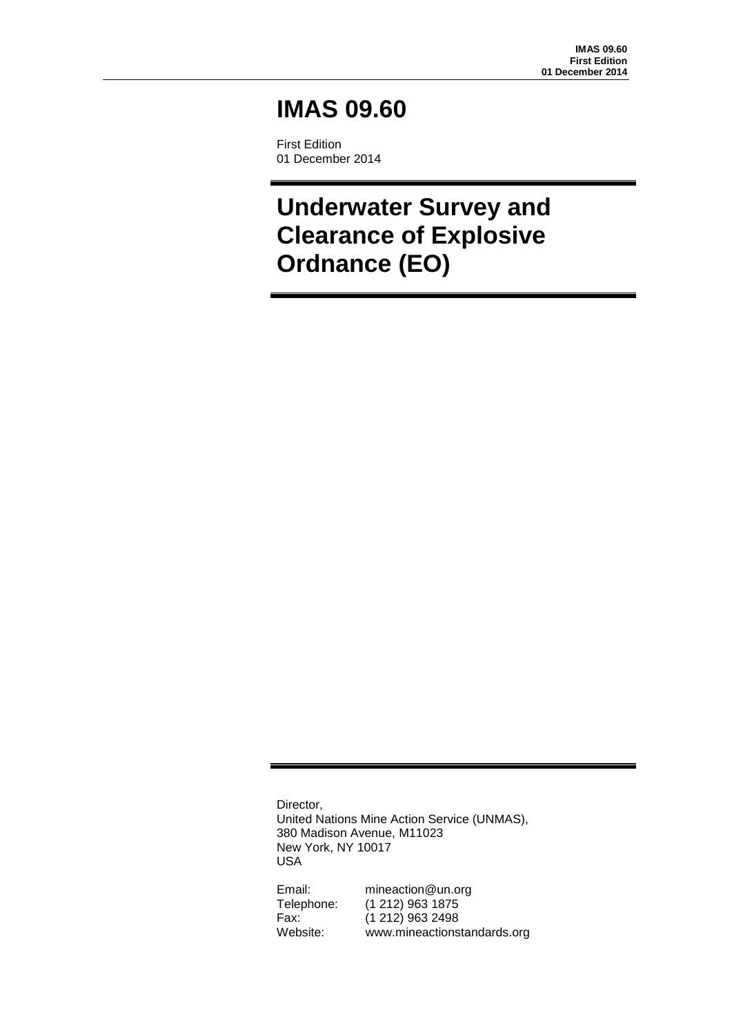# **IMAS 09.60**

First Edition 01 December 2014

**Underwater Survey and Clearance of Explosive Ordnance (EO)**

Director, United Nations Mine Action Service (UNMAS), 380 Madison Avenue, M11023 New York, NY 10017 USA

Email: mineaction@un.org Telephone: (1 212) 963 1875 Fax: (1 212) 963 2498 Website: www.mineactionstandards.org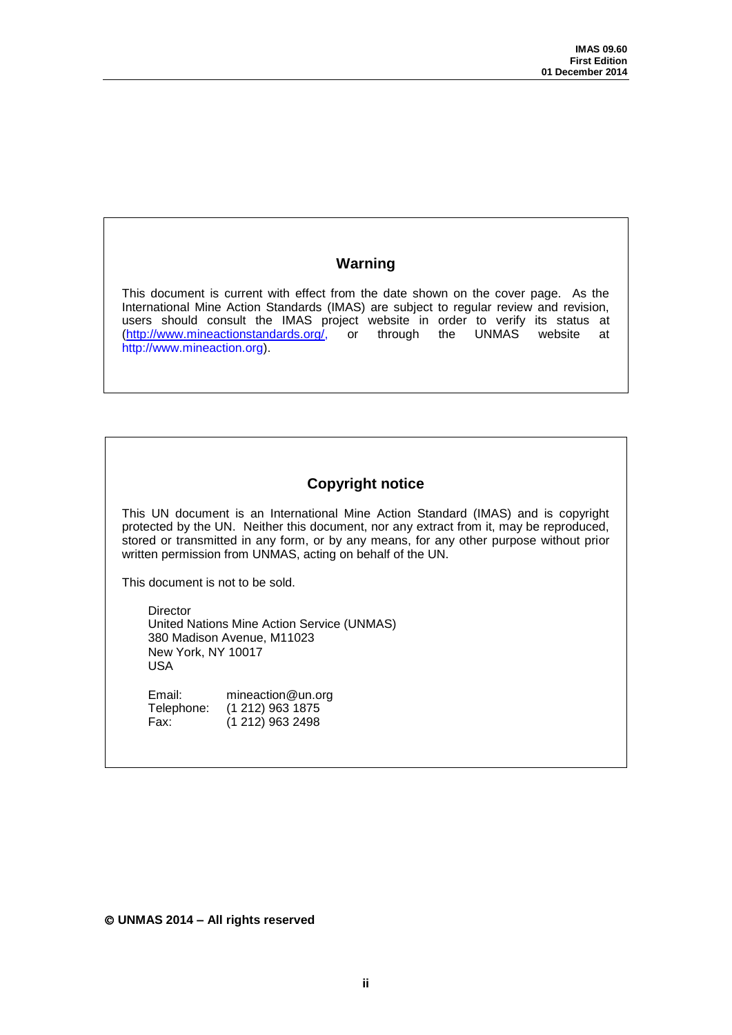# **Warning**

This document is current with effect from the date shown on the cover page. As the International Mine Action Standards (IMAS) are subject to regular review and revision, users should consult the IMAS project website in order to verify its status at [\(http://www.mineactionstandards.org/,](http://www.mineactionstandards.org/) or through the UNMAS website at http://www.mineaction.org).

# **Copyright notice**

This UN document is an International Mine Action Standard (IMAS) and is copyright protected by the UN. Neither this document, nor any extract from it, may be reproduced, stored or transmitted in any form, or by any means, for any other purpose without prior written permission from UNMAS, acting on behalf of the UN.

This document is not to be sold.

Director United Nations Mine Action Service (UNMAS) 380 Madison Avenue, M11023 New York, NY 10017 USA

Email: mineaction@un.org Telephone: (1 212) 963 1875<br>Fax: (1 212) 963 2498  $(1 212)$  963 2498

**UNMAS 2014 – All rights reserved**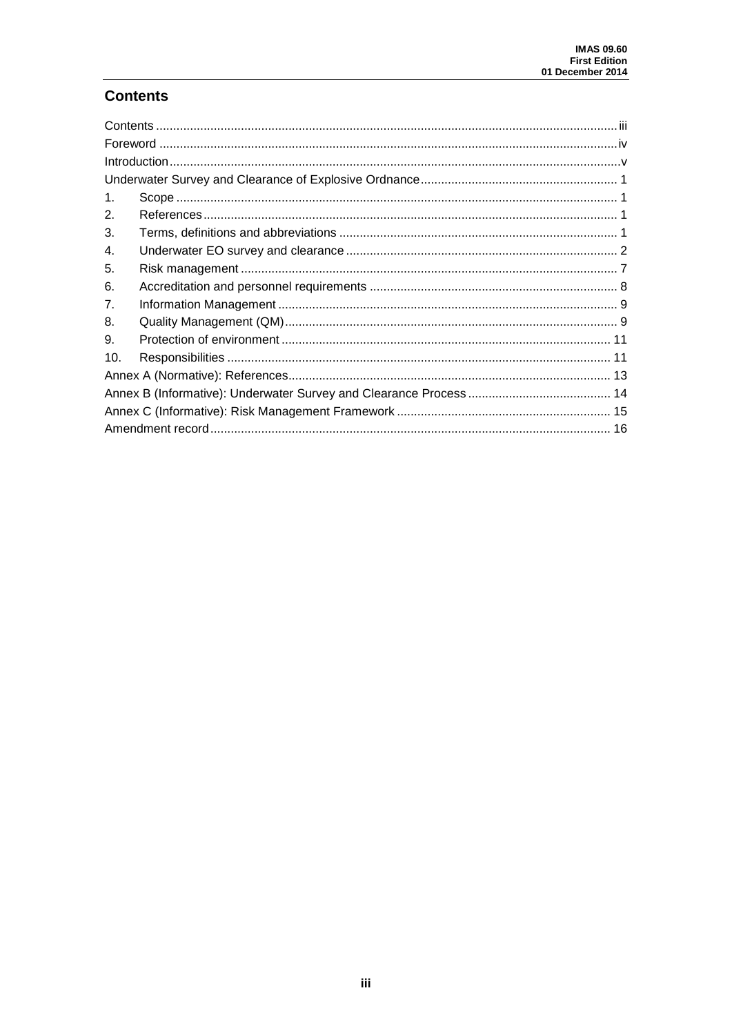# <span id="page-2-0"></span>**Contents**

| $\mathbf{1}$ . |  |  |  |  |
|----------------|--|--|--|--|
| 2.             |  |  |  |  |
| 3.             |  |  |  |  |
| 4.             |  |  |  |  |
| 5.             |  |  |  |  |
| 6.             |  |  |  |  |
| 7.             |  |  |  |  |
| 8.             |  |  |  |  |
| 9.             |  |  |  |  |
| 10.            |  |  |  |  |
|                |  |  |  |  |
|                |  |  |  |  |
|                |  |  |  |  |
|                |  |  |  |  |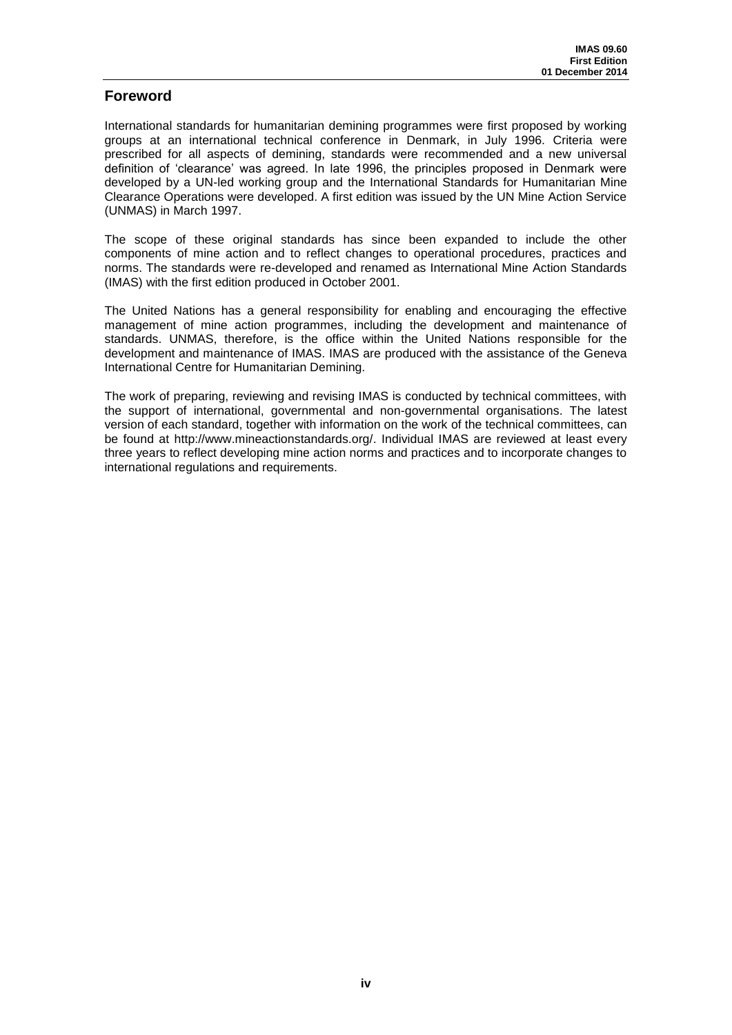## <span id="page-3-0"></span>**Foreword**

International standards for humanitarian demining programmes were first proposed by working groups at an international technical conference in Denmark, in July 1996. Criteria were prescribed for all aspects of demining, standards were recommended and a new universal definition of 'clearance' was agreed. In late 1996, the principles proposed in Denmark were developed by a UN-led working group and the International Standards for Humanitarian Mine Clearance Operations were developed. A first edition was issued by the UN Mine Action Service (UNMAS) in March 1997.

The scope of these original standards has since been expanded to include the other components of mine action and to reflect changes to operational procedures, practices and norms. The standards were re-developed and renamed as International Mine Action Standards (IMAS) with the first edition produced in October 2001.

The United Nations has a general responsibility for enabling and encouraging the effective management of mine action programmes, including the development and maintenance of standards. UNMAS, therefore, is the office within the United Nations responsible for the development and maintenance of IMAS. IMAS are produced with the assistance of the Geneva International Centre for Humanitarian Demining.

The work of preparing, reviewing and revising IMAS is conducted by technical committees, with the support of international, governmental and non-governmental organisations. The latest version of each standard, together with information on the work of the technical committees, can be found at [http://www.mineactionstandards.org/.](http://www.mineactionstandards.org/) Individual IMAS are reviewed at least every three years to reflect developing mine action norms and practices and to incorporate changes to international regulations and requirements.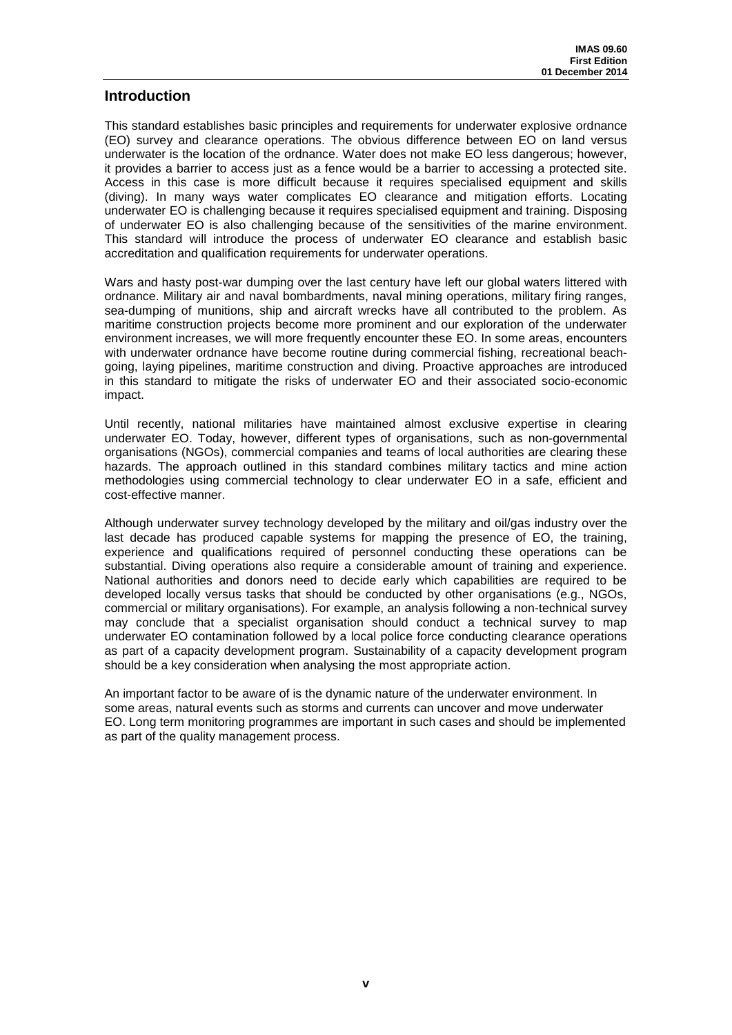## <span id="page-4-0"></span>**Introduction**

This standard establishes basic principles and requirements for underwater explosive ordnance (EO) survey and clearance operations. The obvious difference between EO on land versus underwater is the location of the ordnance. Water does not make EO less dangerous; however, it provides a barrier to access just as a fence would be a barrier to accessing a protected site. Access in this case is more difficult because it requires specialised equipment and skills (diving). In many ways water complicates EO clearance and mitigation efforts. Locating underwater EO is challenging because it requires specialised equipment and training. Disposing of underwater EO is also challenging because of the sensitivities of the marine environment. This standard will introduce the process of underwater EO clearance and establish basic accreditation and qualification requirements for underwater operations.

Wars and hasty post-war dumping over the last century have left our global waters littered with ordnance. Military air and naval bombardments, naval mining operations, military firing ranges, sea-dumping of munitions, ship and aircraft wrecks have all contributed to the problem. As maritime construction projects become more prominent and our exploration of the underwater environment increases, we will more frequently encounter these EO. In some areas, encounters with underwater ordnance have become routine during commercial fishing, recreational beachgoing, laying pipelines, maritime construction and diving. Proactive approaches are introduced in this standard to mitigate the risks of underwater EO and their associated socio-economic impact.

Until recently, national militaries have maintained almost exclusive expertise in clearing underwater EO. Today, however, different types of organisations, such as non-governmental organisations (NGOs), commercial companies and teams of local authorities are clearing these hazards. The approach outlined in this standard combines military tactics and mine action methodologies using commercial technology to clear underwater EO in a safe, efficient and cost-effective manner.

Although underwater survey technology developed by the military and oil/gas industry over the last decade has produced capable systems for mapping the presence of EO, the training, experience and qualifications required of personnel conducting these operations can be substantial. Diving operations also require a considerable amount of training and experience. National authorities and donors need to decide early which capabilities are required to be developed locally versus tasks that should be conducted by other organisations (e.g., NGOs, commercial or military organisations). For example, an analysis following a non-technical survey may conclude that a specialist organisation should conduct a technical survey to map underwater EO contamination followed by a local police force conducting clearance operations as part of a capacity development program. Sustainability of a capacity development program should be a key consideration when analysing the most appropriate action.

An important factor to be aware of is the dynamic nature of the underwater environment. In some areas, natural events such as storms and currents can uncover and move underwater EO. Long term monitoring programmes are important in such cases and should be implemented as part of the quality management process.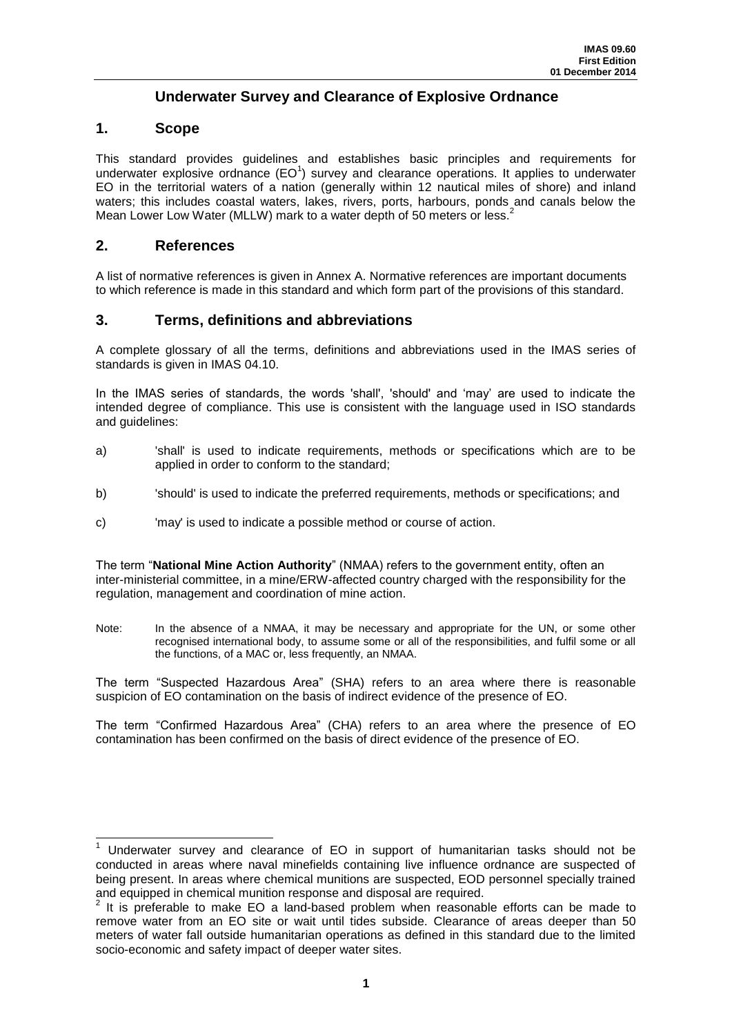# **Underwater Survey and Clearance of Explosive Ordnance**

## <span id="page-5-1"></span><span id="page-5-0"></span>**1. Scope**

This standard provides guidelines and establishes basic principles and requirements for underwater explosive ordnance  $(EO<sup>1</sup>)$  survey and clearance operations. It applies to underwater EO in the territorial waters of a nation (generally within 12 nautical miles of shore) and inland waters; this includes coastal waters, lakes, rivers, ports, harbours, ponds and canals below the Mean Lower Low Water (MLLW) mark to a water depth of 50 meters or less.<sup>2</sup>

## <span id="page-5-2"></span>**2. References**

 $\overline{\phantom{a}}$ 

A list of normative references is given in Annex A. Normative references are important documents to which reference is made in this standard and which form part of the provisions of this standard.

## <span id="page-5-3"></span>**3. Terms, definitions and abbreviations**

A complete glossary of all the terms, definitions and abbreviations used in the IMAS series of standards is given in IMAS 04.10.

In the IMAS series of standards, the words 'shall', 'should' and 'may' are used to indicate the intended degree of compliance. This use is consistent with the language used in ISO standards and guidelines:

- a) 'shall' is used to indicate requirements, methods or specifications which are to be applied in order to conform to the standard;
- b) 'should' is used to indicate the preferred requirements, methods or specifications; and
- c) 'may' is used to indicate a possible method or course of action.

The term "**National Mine Action Authority**" (NMAA) refers to the government entity, often an inter-ministerial committee, in a mine/ERW-affected country charged with the responsibility for the regulation, management and coordination of mine action.

Note: In the absence of a NMAA, it may be necessary and appropriate for the UN, or some other recognised international body, to assume some or all of the responsibilities, and fulfil some or all the functions, of a MAC or, less frequently, an NMAA.

The term "Suspected Hazardous Area" (SHA) refers to an area where there is reasonable suspicion of EO contamination on the basis of indirect evidence of the presence of EO.

The term "Confirmed Hazardous Area" (CHA) refers to an area where the presence of EO contamination has been confirmed on the basis of direct evidence of the presence of EO.

<sup>1</sup> Underwater survey and clearance of EO in support of humanitarian tasks should not be conducted in areas where naval minefields containing live influence ordnance are suspected of being present. In areas where chemical munitions are suspected, EOD personnel specially trained and equipped in chemical munition response and disposal are required.<br><sup>2</sup> It is preferable to make EQ a land based problem when research

It is preferable to make EO a land-based problem when reasonable efforts can be made to remove water from an EO site or wait until tides subside. Clearance of areas deeper than 50 meters of water fall outside humanitarian operations as defined in this standard due to the limited socio-economic and safety impact of deeper water sites.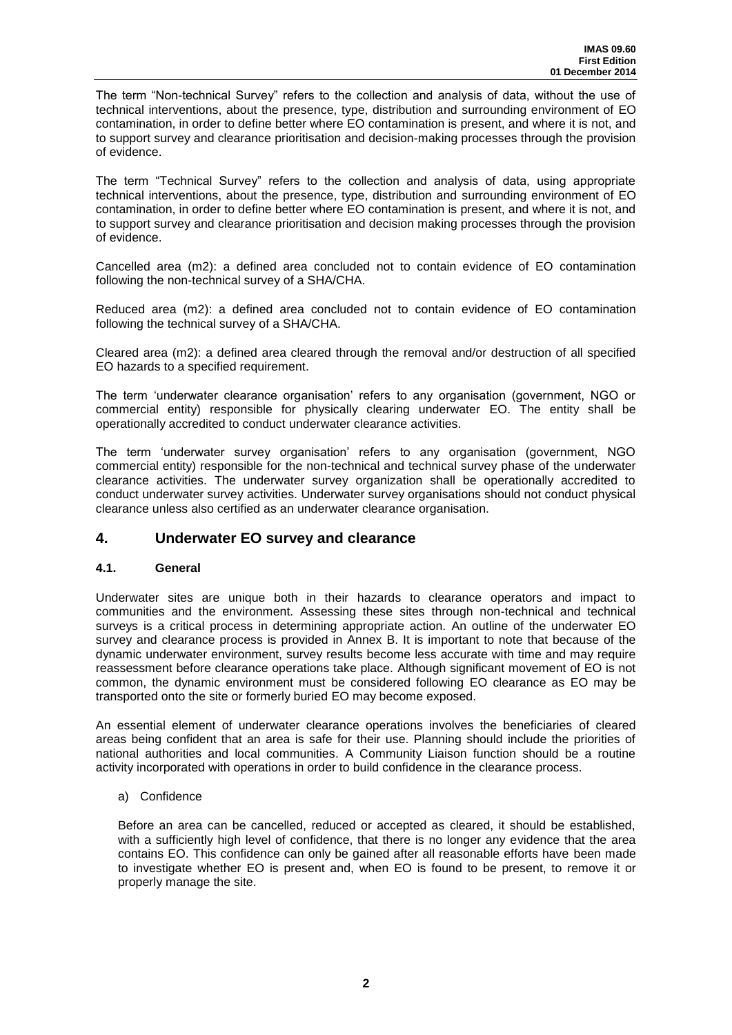The term "Non-technical Survey" refers to the collection and analysis of data, without the use of technical interventions, about the presence, type, distribution and surrounding environment of EO contamination, in order to define better where EO contamination is present, and where it is not, and to support survey and clearance prioritisation and decision-making processes through the provision of evidence.

The term "Technical Survey" refers to the collection and analysis of data, using appropriate technical interventions, about the presence, type, distribution and surrounding environment of EO contamination, in order to define better where EO contamination is present, and where it is not, and to support survey and clearance prioritisation and decision making processes through the provision of evidence.

Cancelled area (m2): a defined area concluded not to contain evidence of EO contamination following the non-technical survey of a SHA/CHA.

Reduced area (m2): a defined area concluded not to contain evidence of EO contamination following the technical survey of a SHA/CHA.

Cleared area (m2): a defined area cleared through the removal and/or destruction of all specified EO hazards to a specified requirement.

The term 'underwater clearance organisation' refers to any organisation (government, NGO or commercial entity) responsible for physically clearing underwater EO. The entity shall be operationally accredited to conduct underwater clearance activities.

The term 'underwater survey organisation' refers to any organisation (government, NGO commercial entity) responsible for the non-technical and technical survey phase of the underwater clearance activities. The underwater survey organization shall be operationally accredited to conduct underwater survey activities. Underwater survey organisations should not conduct physical clearance unless also certified as an underwater clearance organisation.

## <span id="page-6-0"></span>**4. Underwater EO survey and clearance**

## **4.1. General**

Underwater sites are unique both in their hazards to clearance operators and impact to communities and the environment. Assessing these sites through non-technical and technical surveys is a critical process in determining appropriate action. An outline of the underwater EO survey and clearance process is provided in Annex B. It is important to note that because of the dynamic underwater environment, survey results become less accurate with time and may require reassessment before clearance operations take place. Although significant movement of EO is not common, the dynamic environment must be considered following EO clearance as EO may be transported onto the site or formerly buried EO may become exposed.

An essential element of underwater clearance operations involves the beneficiaries of cleared areas being confident that an area is safe for their use. Planning should include the priorities of national authorities and local communities. A Community Liaison function should be a routine activity incorporated with operations in order to build confidence in the clearance process.

#### a) Confidence

Before an area can be cancelled, reduced or accepted as cleared, it should be established, with a sufficiently high level of confidence, that there is no longer any evidence that the area contains EO. This confidence can only be gained after all reasonable efforts have been made to investigate whether EO is present and, when EO is found to be present, to remove it or properly manage the site.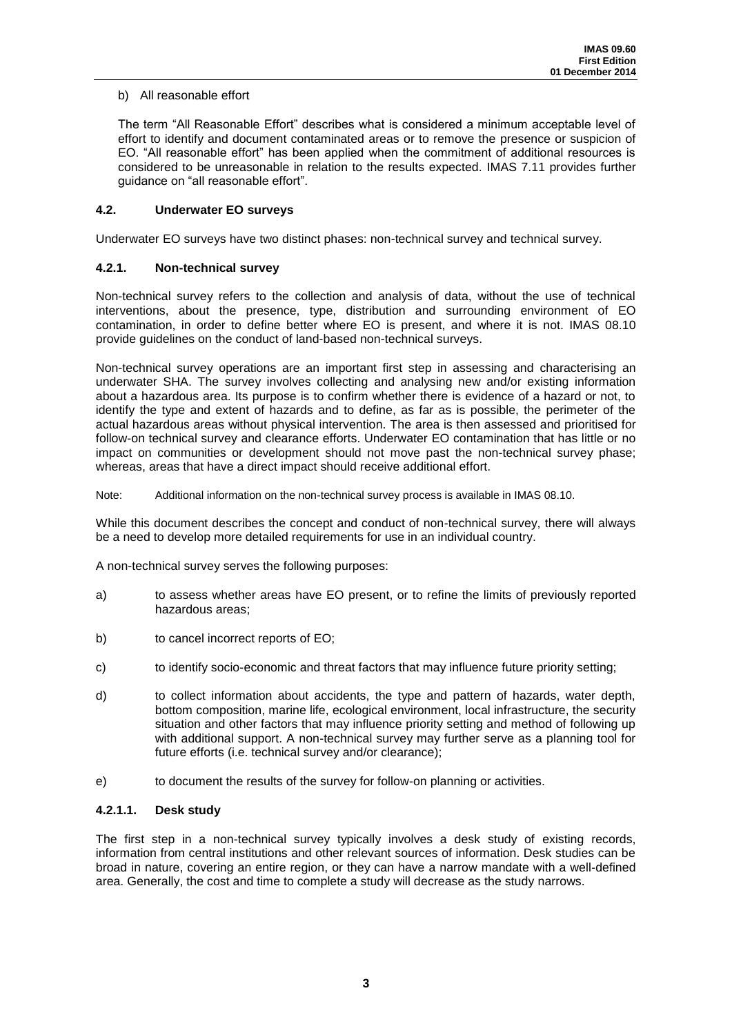## b) All reasonable effort

The term "All Reasonable Effort" describes what is considered a minimum acceptable level of effort to identify and document contaminated areas or to remove the presence or suspicion of EO. "All reasonable effort" has been applied when the commitment of additional resources is considered to be unreasonable in relation to the results expected. IMAS 7.11 provides further guidance on "all reasonable effort".

## **4.2. Underwater EO surveys**

Underwater EO surveys have two distinct phases: non-technical survey and technical survey.

## **4.2.1. Non-technical survey**

Non-technical survey refers to the collection and analysis of data, without the use of technical interventions, about the presence, type, distribution and surrounding environment of EO contamination, in order to define better where EO is present, and where it is not. IMAS 08.10 provide guidelines on the conduct of land-based non-technical surveys.

Non-technical survey operations are an important first step in assessing and characterising an underwater SHA. The survey involves collecting and analysing new and/or existing information about a hazardous area. Its purpose is to confirm whether there is evidence of a hazard or not, to identify the type and extent of hazards and to define, as far as is possible, the perimeter of the actual hazardous areas without physical intervention. The area is then assessed and prioritised for follow-on technical survey and clearance efforts. Underwater EO contamination that has little or no impact on communities or development should not move past the non-technical survey phase; whereas, areas that have a direct impact should receive additional effort.

Note: Additional information on the non-technical survey process is available in IMAS 08.10.

While this document describes the concept and conduct of non-technical survey, there will always be a need to develop more detailed requirements for use in an individual country.

A non-technical survey serves the following purposes:

- a) to assess whether areas have EO present, or to refine the limits of previously reported hazardous areas;
- b) to cancel incorrect reports of EO;
- c) to identify socio-economic and threat factors that may influence future priority setting;
- d) to collect information about accidents, the type and pattern of hazards, water depth, bottom composition, marine life, ecological environment, local infrastructure, the security situation and other factors that may influence priority setting and method of following up with additional support. A non-technical survey may further serve as a planning tool for future efforts (i.e. technical survey and/or clearance);
- e) to document the results of the survey for follow-on planning or activities.

## **4.2.1.1. Desk study**

The first step in a non-technical survey typically involves a desk study of existing records, information from central institutions and other relevant sources of information. Desk studies can be broad in nature, covering an entire region, or they can have a narrow mandate with a well-defined area. Generally, the cost and time to complete a study will decrease as the study narrows.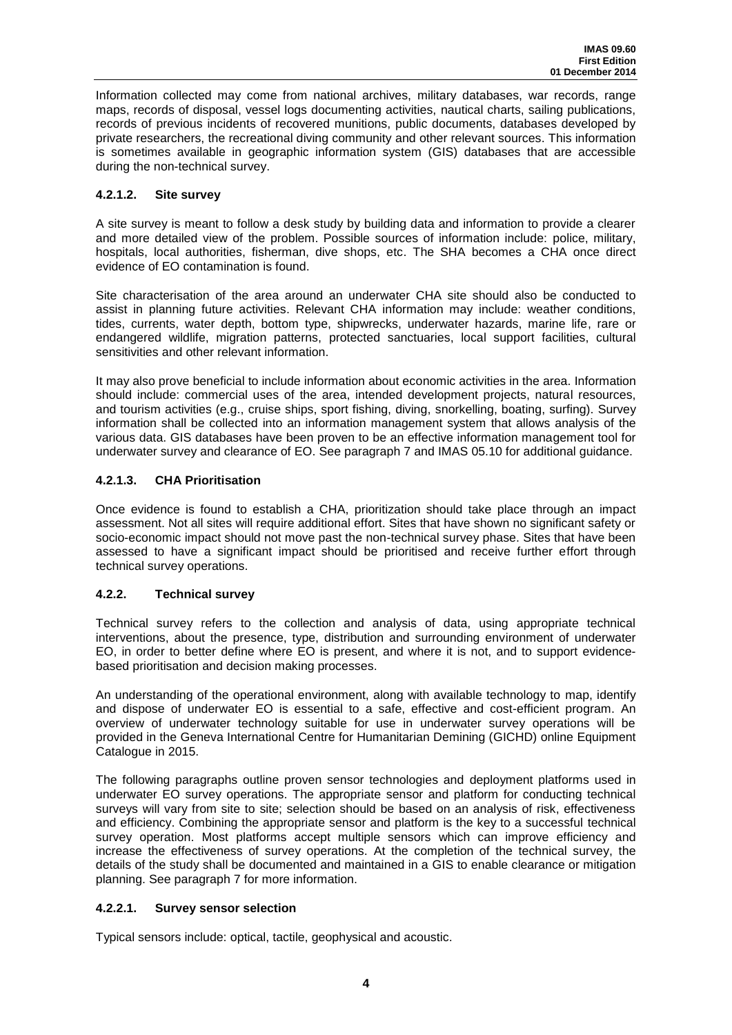Information collected may come from national archives, military databases, war records, range maps, records of disposal, vessel logs documenting activities, nautical charts, sailing publications, records of previous incidents of recovered munitions, public documents, databases developed by private researchers, the recreational diving community and other relevant sources. This information is sometimes available in geographic information system (GIS) databases that are accessible during the non-technical survey.

## **4.2.1.2. Site survey**

A site survey is meant to follow a desk study by building data and information to provide a clearer and more detailed view of the problem. Possible sources of information include: police, military, hospitals, local authorities, fisherman, dive shops, etc. The SHA becomes a CHA once direct evidence of EO contamination is found.

Site characterisation of the area around an underwater CHA site should also be conducted to assist in planning future activities. Relevant CHA information may include: weather conditions, tides, currents, water depth, bottom type, shipwrecks, underwater hazards, marine life, rare or endangered wildlife, migration patterns, protected sanctuaries, local support facilities, cultural sensitivities and other relevant information.

It may also prove beneficial to include information about economic activities in the area. Information should include: commercial uses of the area, intended development projects, natural resources, and tourism activities (e.g., cruise ships, sport fishing, diving, snorkelling, boating, surfing). Survey information shall be collected into an information management system that allows analysis of the various data. GIS databases have been proven to be an effective information management tool for underwater survey and clearance of EO. See paragraph 7 and IMAS 05.10 for additional guidance.

## **4.2.1.3. CHA Prioritisation**

Once evidence is found to establish a CHA, prioritization should take place through an impact assessment. Not all sites will require additional effort. Sites that have shown no significant safety or socio-economic impact should not move past the non-technical survey phase. Sites that have been assessed to have a significant impact should be prioritised and receive further effort through technical survey operations.

## **4.2.2. Technical survey**

Technical survey refers to the collection and analysis of data, using appropriate technical interventions, about the presence, type, distribution and surrounding environment of underwater EO, in order to better define where EO is present, and where it is not, and to support evidencebased prioritisation and decision making processes.

An understanding of the operational environment, along with available technology to map, identify and dispose of underwater EO is essential to a safe, effective and cost-efficient program. An overview of underwater technology suitable for use in underwater survey operations will be provided in the Geneva International Centre for Humanitarian Demining (GICHD) online Equipment Catalogue in 2015.

The following paragraphs outline proven sensor technologies and deployment platforms used in underwater EO survey operations. The appropriate sensor and platform for conducting technical surveys will vary from site to site; selection should be based on an analysis of risk, effectiveness and efficiency. Combining the appropriate sensor and platform is the key to a successful technical survey operation. Most platforms accept multiple sensors which can improve efficiency and increase the effectiveness of survey operations. At the completion of the technical survey, the details of the study shall be documented and maintained in a GIS to enable clearance or mitigation planning. See paragraph 7 for more information.

## **4.2.2.1. Survey sensor selection**

Typical sensors include: optical, tactile, geophysical and acoustic.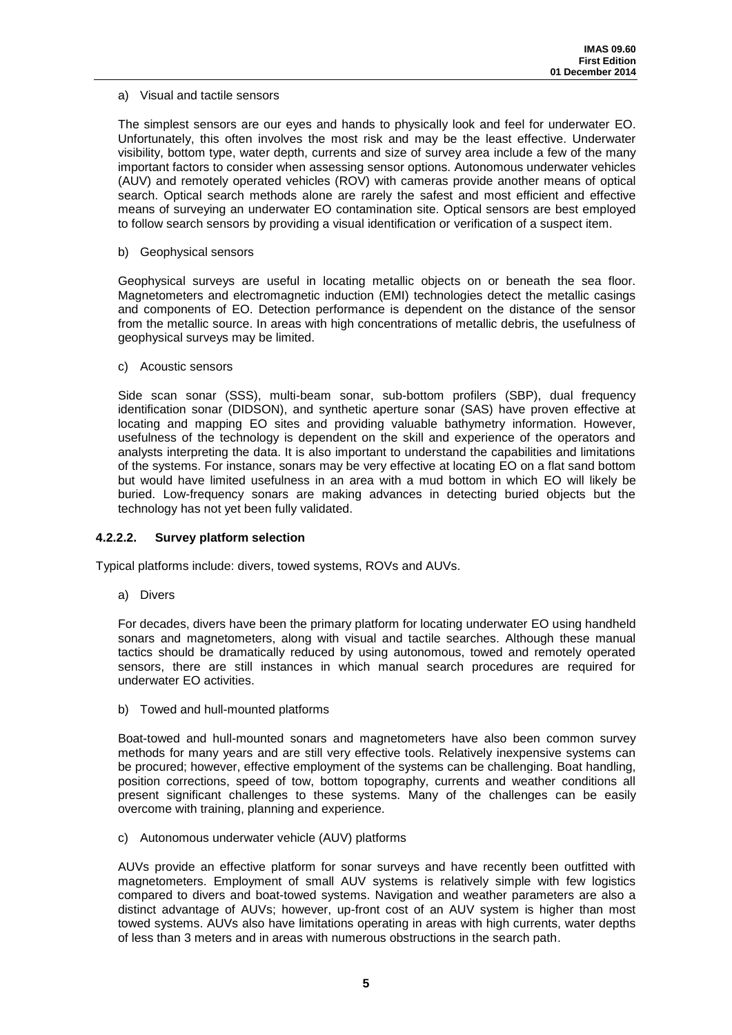#### a) Visual and tactile sensors

The simplest sensors are our eyes and hands to physically look and feel for underwater EO. Unfortunately, this often involves the most risk and may be the least effective. Underwater visibility, bottom type, water depth, currents and size of survey area include a few of the many important factors to consider when assessing sensor options. Autonomous underwater vehicles (AUV) and remotely operated vehicles (ROV) with cameras provide another means of optical search. Optical search methods alone are rarely the safest and most efficient and effective means of surveying an underwater EO contamination site. Optical sensors are best employed to follow search sensors by providing a visual identification or verification of a suspect item.

#### b) Geophysical sensors

Geophysical surveys are useful in locating metallic objects on or beneath the sea floor. Magnetometers and electromagnetic induction (EMI) technologies detect the metallic casings and components of EO. Detection performance is dependent on the distance of the sensor from the metallic source. In areas with high concentrations of metallic debris, the usefulness of geophysical surveys may be limited.

#### c) Acoustic sensors

Side scan sonar (SSS), multi-beam sonar, sub-bottom profilers (SBP), dual frequency identification sonar (DIDSON), and synthetic aperture sonar (SAS) have proven effective at locating and mapping EO sites and providing valuable bathymetry information. However, usefulness of the technology is dependent on the skill and experience of the operators and analysts interpreting the data. It is also important to understand the capabilities and limitations of the systems. For instance, sonars may be very effective at locating EO on a flat sand bottom but would have limited usefulness in an area with a mud bottom in which EO will likely be buried. Low-frequency sonars are making advances in detecting buried objects but the technology has not yet been fully validated.

## **4.2.2.2. Survey platform selection**

Typical platforms include: divers, towed systems, ROVs and AUVs.

a) Divers

For decades, divers have been the primary platform for locating underwater EO using handheld sonars and magnetometers, along with visual and tactile searches. Although these manual tactics should be dramatically reduced by using autonomous, towed and remotely operated sensors, there are still instances in which manual search procedures are required for underwater EO activities.

b) Towed and hull-mounted platforms

Boat-towed and hull-mounted sonars and magnetometers have also been common survey methods for many years and are still very effective tools. Relatively inexpensive systems can be procured; however, effective employment of the systems can be challenging. Boat handling, position corrections, speed of tow, bottom topography, currents and weather conditions all present significant challenges to these systems. Many of the challenges can be easily overcome with training, planning and experience.

#### c) Autonomous underwater vehicle (AUV) platforms

AUVs provide an effective platform for sonar surveys and have recently been outfitted with magnetometers. Employment of small AUV systems is relatively simple with few logistics compared to divers and boat-towed systems. Navigation and weather parameters are also a distinct advantage of AUVs; however, up-front cost of an AUV system is higher than most towed systems. AUVs also have limitations operating in areas with high currents, water depths of less than 3 meters and in areas with numerous obstructions in the search path.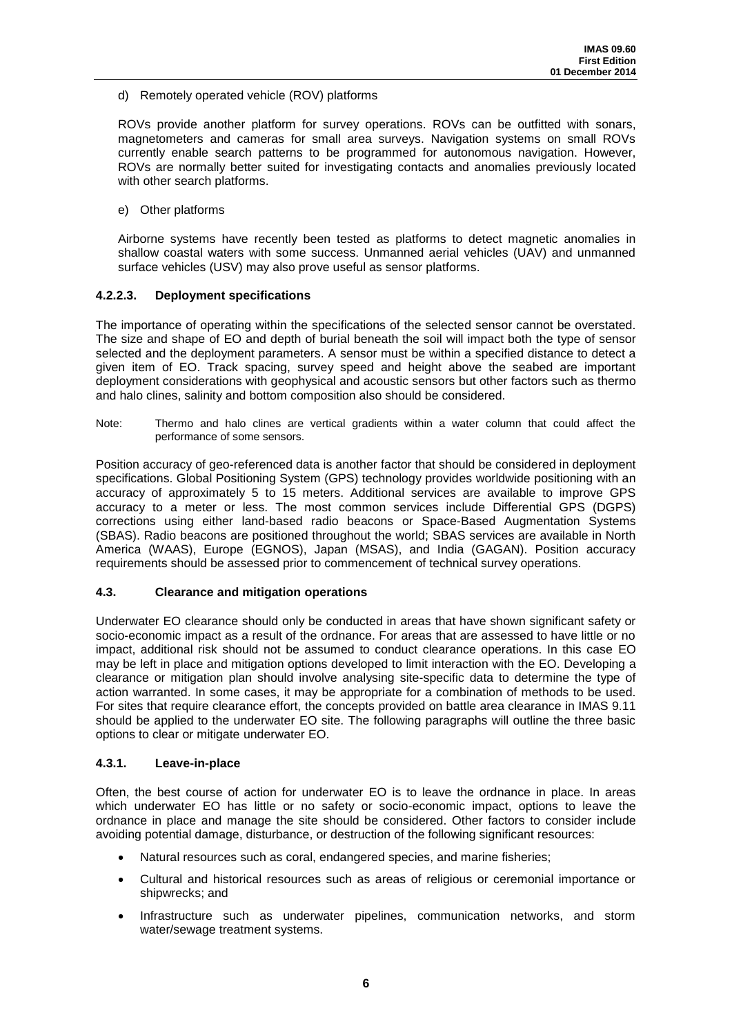## d) Remotely operated vehicle (ROV) platforms

ROVs provide another platform for survey operations. ROVs can be outfitted with sonars, magnetometers and cameras for small area surveys. Navigation systems on small ROVs currently enable search patterns to be programmed for autonomous navigation. However, ROVs are normally better suited for investigating contacts and anomalies previously located with other search platforms.

e) Other platforms

Airborne systems have recently been tested as platforms to detect magnetic anomalies in shallow coastal waters with some success. Unmanned aerial vehicles (UAV) and unmanned surface vehicles (USV) may also prove useful as sensor platforms.

## **4.2.2.3. Deployment specifications**

The importance of operating within the specifications of the selected sensor cannot be overstated. The size and shape of EO and depth of burial beneath the soil will impact both the type of sensor selected and the deployment parameters. A sensor must be within a specified distance to detect a given item of EO. Track spacing, survey speed and height above the seabed are important deployment considerations with geophysical and acoustic sensors but other factors such as thermo and halo clines, salinity and bottom composition also should be considered.

Note: Thermo and halo clines are vertical gradients within a water column that could affect the performance of some sensors.

Position accuracy of geo-referenced data is another factor that should be considered in deployment specifications. Global Positioning System (GPS) technology provides worldwide positioning with an accuracy of approximately 5 to 15 meters. Additional services are available to improve GPS accuracy to a meter or less. The most common services include Differential GPS (DGPS) corrections using either land-based radio beacons or Space-Based Augmentation Systems (SBAS). Radio beacons are positioned throughout the world; SBAS services are available in North America (WAAS), Europe (EGNOS), Japan (MSAS), and India (GAGAN). Position accuracy requirements should be assessed prior to commencement of technical survey operations.

## **4.3. Clearance and mitigation operations**

Underwater EO clearance should only be conducted in areas that have shown significant safety or socio-economic impact as a result of the ordnance. For areas that are assessed to have little or no impact, additional risk should not be assumed to conduct clearance operations. In this case EO may be left in place and mitigation options developed to limit interaction with the EO. Developing a clearance or mitigation plan should involve analysing site-specific data to determine the type of action warranted. In some cases, it may be appropriate for a combination of methods to be used. For sites that require clearance effort, the concepts provided on battle area clearance in IMAS 9.11 should be applied to the underwater EO site. The following paragraphs will outline the three basic options to clear or mitigate underwater EO.

#### **4.3.1. Leave-in-place**

Often, the best course of action for underwater EO is to leave the ordnance in place. In areas which underwater EO has little or no safety or socio-economic impact, options to leave the ordnance in place and manage the site should be considered. Other factors to consider include avoiding potential damage, disturbance, or destruction of the following significant resources:

- Natural resources such as coral, endangered species, and marine fisheries;
- Cultural and historical resources such as areas of religious or ceremonial importance or shipwrecks; and
- Infrastructure such as underwater pipelines, communication networks, and storm water/sewage treatment systems.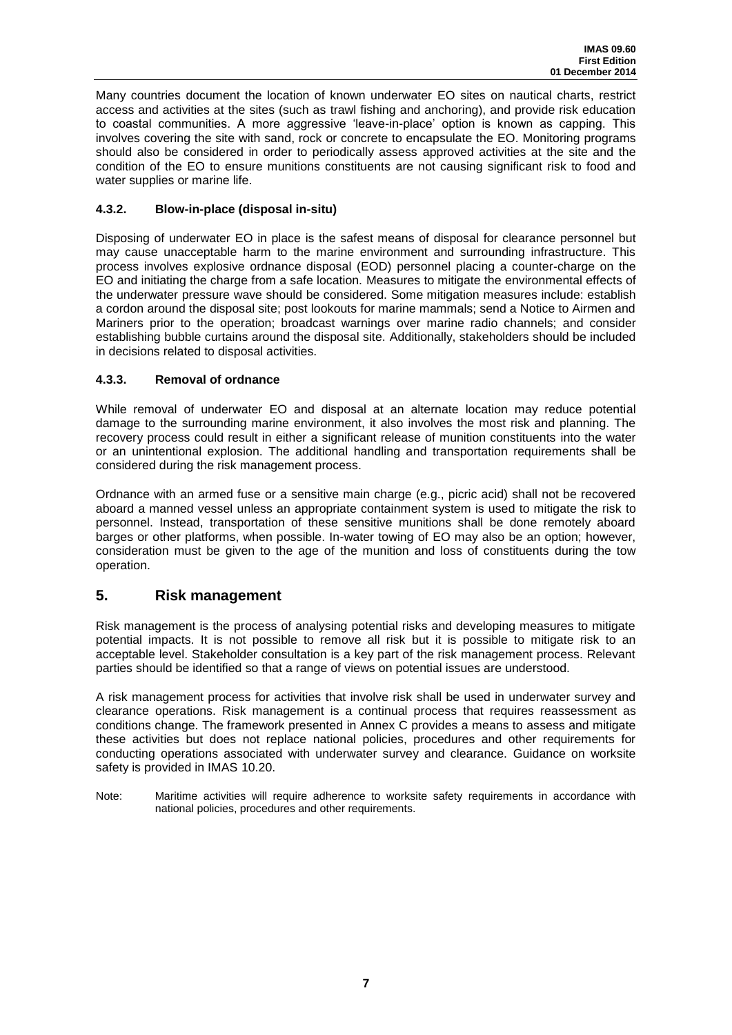Many countries document the location of known underwater EO sites on nautical charts, restrict access and activities at the sites (such as trawl fishing and anchoring), and provide risk education to coastal communities. A more aggressive 'leave-in-place' option is known as capping. This involves covering the site with sand, rock or concrete to encapsulate the EO. Monitoring programs should also be considered in order to periodically assess approved activities at the site and the condition of the EO to ensure munitions constituents are not causing significant risk to food and water supplies or marine life.

## **4.3.2. Blow-in-place (disposal in-situ)**

Disposing of underwater EO in place is the safest means of disposal for clearance personnel but may cause unacceptable harm to the marine environment and surrounding infrastructure. This process involves explosive ordnance disposal (EOD) personnel placing a counter-charge on the EO and initiating the charge from a safe location. Measures to mitigate the environmental effects of the underwater pressure wave should be considered. Some mitigation measures include: establish a cordon around the disposal site; post lookouts for marine mammals; send a Notice to Airmen and Mariners prior to the operation; broadcast warnings over marine radio channels; and consider establishing bubble curtains around the disposal site. Additionally, stakeholders should be included in decisions related to disposal activities.

## **4.3.3. Removal of ordnance**

While removal of underwater EO and disposal at an alternate location may reduce potential damage to the surrounding marine environment, it also involves the most risk and planning. The recovery process could result in either a significant release of munition constituents into the water or an unintentional explosion. The additional handling and transportation requirements shall be considered during the risk management process.

Ordnance with an armed fuse or a sensitive main charge (e.g., picric acid) shall not be recovered aboard a manned vessel unless an appropriate containment system is used to mitigate the risk to personnel. Instead, transportation of these sensitive munitions shall be done remotely aboard barges or other platforms, when possible. In-water towing of EO may also be an option; however, consideration must be given to the age of the munition and loss of constituents during the tow operation.

## <span id="page-11-0"></span>**5. Risk management**

Risk management is the process of analysing potential risks and developing measures to mitigate potential impacts. It is not possible to remove all risk but it is possible to mitigate risk to an acceptable level. Stakeholder consultation is a key part of the risk management process. Relevant parties should be identified so that a range of views on potential issues are understood.

A risk management process for activities that involve risk shall be used in underwater survey and clearance operations. Risk management is a continual process that requires reassessment as conditions change. The framework presented in Annex C provides a means to assess and mitigate these activities but does not replace national policies, procedures and other requirements for conducting operations associated with underwater survey and clearance. Guidance on worksite safety is provided in IMAS 10.20.

Note: Maritime activities will require adherence to worksite safety requirements in accordance with national policies, procedures and other requirements.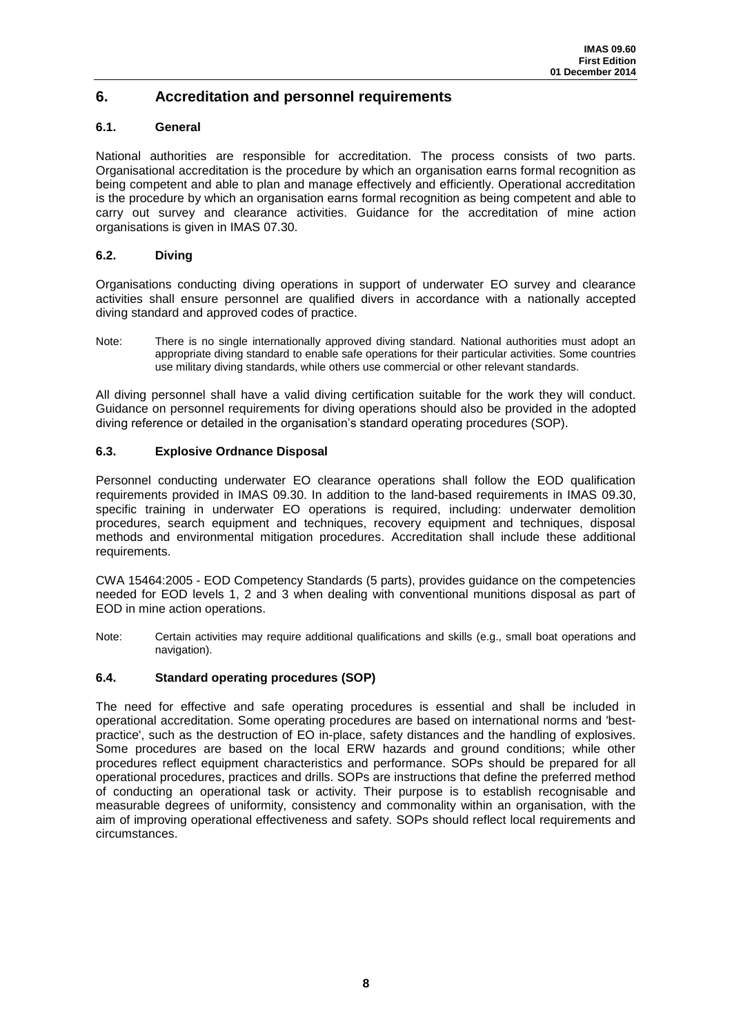# <span id="page-12-0"></span>**6. Accreditation and personnel requirements**

## **6.1. General**

National authorities are responsible for accreditation. The process consists of two parts. Organisational accreditation is the procedure by which an organisation earns formal recognition as being competent and able to plan and manage effectively and efficiently. Operational accreditation is the procedure by which an organisation earns formal recognition as being competent and able to carry out survey and clearance activities. Guidance for the accreditation of mine action organisations is given in IMAS 07.30.

### **6.2. Diving**

Organisations conducting diving operations in support of underwater EO survey and clearance activities shall ensure personnel are qualified divers in accordance with a nationally accepted diving standard and approved codes of practice.

Note: There is no single internationally approved diving standard. National authorities must adopt an appropriate diving standard to enable safe operations for their particular activities. Some countries use military diving standards, while others use commercial or other relevant standards.

All diving personnel shall have a valid diving certification suitable for the work they will conduct. Guidance on personnel requirements for diving operations should also be provided in the adopted diving reference or detailed in the organisation's standard operating procedures (SOP).

#### **6.3. Explosive Ordnance Disposal**

Personnel conducting underwater EO clearance operations shall follow the EOD qualification requirements provided in IMAS 09.30. In addition to the land-based requirements in IMAS 09.30, specific training in underwater EO operations is required, including: underwater demolition procedures, search equipment and techniques, recovery equipment and techniques, disposal methods and environmental mitigation procedures. Accreditation shall include these additional requirements.

CWA 15464:2005 - EOD Competency Standards (5 parts), provides guidance on the competencies needed for EOD levels 1, 2 and 3 when dealing with conventional munitions disposal as part of EOD in mine action operations.

Note: Certain activities may require additional qualifications and skills (e.g., small boat operations and navigation).

## **6.4. Standard operating procedures (SOP)**

The need for effective and safe operating procedures is essential and shall be included in operational accreditation. Some operating procedures are based on international norms and 'bestpractice', such as the destruction of EO in-place, safety distances and the handling of explosives. Some procedures are based on the local ERW hazards and ground conditions; while other procedures reflect equipment characteristics and performance. SOPs should be prepared for all operational procedures, practices and drills. SOPs are instructions that define the preferred method of conducting an operational task or activity. Their purpose is to establish recognisable and measurable degrees of uniformity, consistency and commonality within an organisation, with the aim of improving operational effectiveness and safety. SOPs should reflect local requirements and circumstances.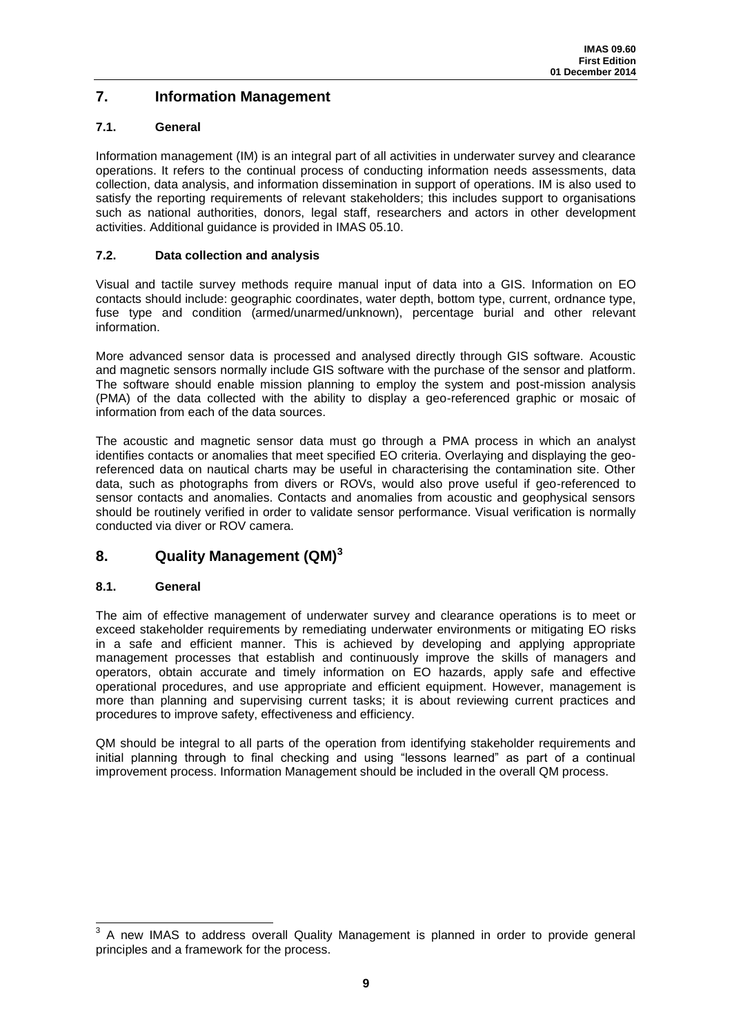# <span id="page-13-0"></span>**7. Information Management**

## **7.1. General**

Information management (IM) is an integral part of all activities in underwater survey and clearance operations. It refers to the continual process of conducting information needs assessments, data collection, data analysis, and information dissemination in support of operations. IM is also used to satisfy the reporting requirements of relevant stakeholders; this includes support to organisations such as national authorities, donors, legal staff, researchers and actors in other development activities. Additional guidance is provided in IMAS 05.10.

## **7.2. Data collection and analysis**

Visual and tactile survey methods require manual input of data into a GIS. Information on EO contacts should include: geographic coordinates, water depth, bottom type, current, ordnance type, fuse type and condition (armed/unarmed/unknown), percentage burial and other relevant information.

More advanced sensor data is processed and analysed directly through GIS software. Acoustic and magnetic sensors normally include GIS software with the purchase of the sensor and platform. The software should enable mission planning to employ the system and post-mission analysis (PMA) of the data collected with the ability to display a geo-referenced graphic or mosaic of information from each of the data sources.

The acoustic and magnetic sensor data must go through a PMA process in which an analyst identifies contacts or anomalies that meet specified EO criteria. Overlaying and displaying the georeferenced data on nautical charts may be useful in characterising the contamination site. Other data, such as photographs from divers or ROVs, would also prove useful if geo-referenced to sensor contacts and anomalies. Contacts and anomalies from acoustic and geophysical sensors should be routinely verified in order to validate sensor performance. Visual verification is normally conducted via diver or ROV camera.

# <span id="page-13-1"></span>**8. Quality Management (QM)<sup>3</sup>**

## **8.1. General**

The aim of effective management of underwater survey and clearance operations is to meet or exceed stakeholder requirements by remediating underwater environments or mitigating EO risks in a safe and efficient manner. This is achieved by developing and applying appropriate management processes that establish and continuously improve the skills of managers and operators, obtain accurate and timely information on EO hazards, apply safe and effective operational procedures, and use appropriate and efficient equipment. However, management is more than planning and supervising current tasks; it is about reviewing current practices and procedures to improve safety, effectiveness and efficiency.

QM should be integral to all parts of the operation from identifying stakeholder requirements and initial planning through to final checking and using "lessons learned" as part of a continual improvement process. Information Management should be included in the overall QM process.

<sup>3</sup> A new IMAS to address overall Quality Management is planned in order to provide general principles and a framework for the process.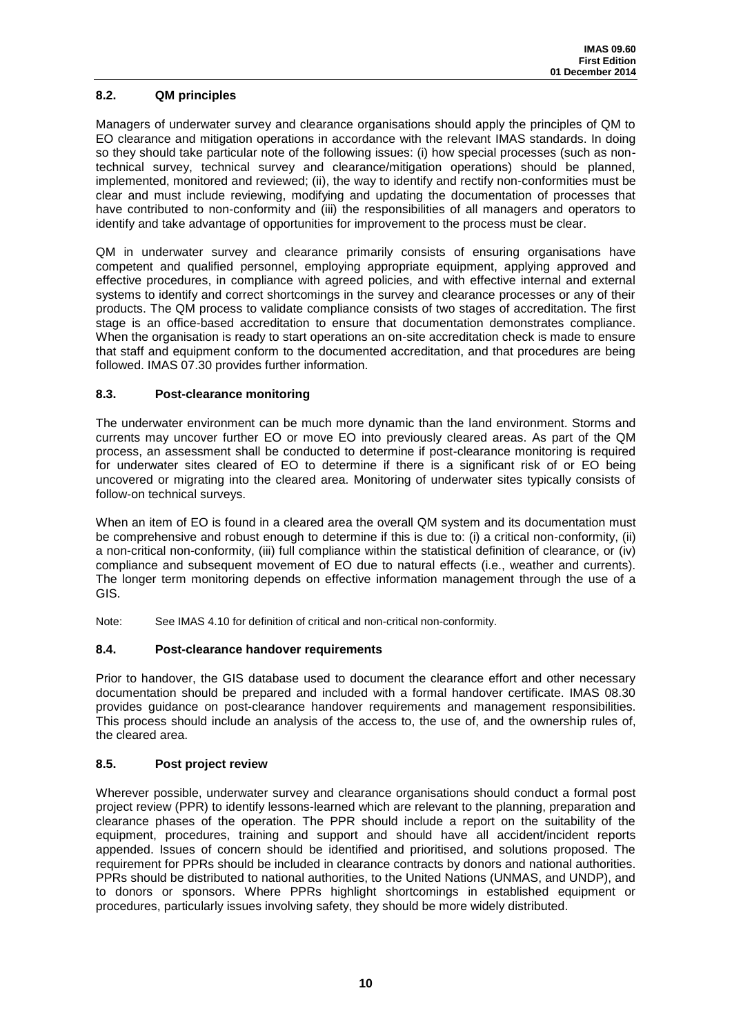## **8.2. QM principles**

Managers of underwater survey and clearance organisations should apply the principles of QM to EO clearance and mitigation operations in accordance with the relevant IMAS standards. In doing so they should take particular note of the following issues: (i) how special processes (such as nontechnical survey, technical survey and clearance/mitigation operations) should be planned, implemented, monitored and reviewed; (ii), the way to identify and rectify non-conformities must be clear and must include reviewing, modifying and updating the documentation of processes that have contributed to non-conformity and (iii) the responsibilities of all managers and operators to identify and take advantage of opportunities for improvement to the process must be clear.

QM in underwater survey and clearance primarily consists of ensuring organisations have competent and qualified personnel, employing appropriate equipment, applying approved and effective procedures, in compliance with agreed policies, and with effective internal and external systems to identify and correct shortcomings in the survey and clearance processes or any of their products. The QM process to validate compliance consists of two stages of accreditation. The first stage is an office-based accreditation to ensure that documentation demonstrates compliance. When the organisation is ready to start operations an on-site accreditation check is made to ensure that staff and equipment conform to the documented accreditation, and that procedures are being followed. IMAS 07.30 provides further information.

## **8.3. Post-clearance monitoring**

The underwater environment can be much more dynamic than the land environment. Storms and currents may uncover further EO or move EO into previously cleared areas. As part of the QM process, an assessment shall be conducted to determine if post-clearance monitoring is required for underwater sites cleared of EO to determine if there is a significant risk of or EO being uncovered or migrating into the cleared area. Monitoring of underwater sites typically consists of follow-on technical surveys.

When an item of EO is found in a cleared area the overall QM system and its documentation must be comprehensive and robust enough to determine if this is due to: (i) a critical non-conformity, (ii) a non-critical non-conformity, (iii) full compliance within the statistical definition of clearance, or (iv) compliance and subsequent movement of EO due to natural effects (i.e., weather and currents). The longer term monitoring depends on effective information management through the use of a GIS.

Note: See IMAS 4.10 for definition of critical and non-critical non-conformity.

## **8.4. Post-clearance handover requirements**

Prior to handover, the GIS database used to document the clearance effort and other necessary documentation should be prepared and included with a formal handover certificate. IMAS 08.30 provides guidance on post-clearance handover requirements and management responsibilities. This process should include an analysis of the access to, the use of, and the ownership rules of, the cleared area.

## **8.5. Post project review**

Wherever possible, underwater survey and clearance organisations should conduct a formal post project review (PPR) to identify lessons-learned which are relevant to the planning, preparation and clearance phases of the operation. The PPR should include a report on the suitability of the equipment, procedures, training and support and should have all accident/incident reports appended. Issues of concern should be identified and prioritised, and solutions proposed. The requirement for PPRs should be included in clearance contracts by donors and national authorities. PPRs should be distributed to national authorities, to the United Nations (UNMAS, and UNDP), and to donors or sponsors. Where PPRs highlight shortcomings in established equipment or procedures, particularly issues involving safety, they should be more widely distributed.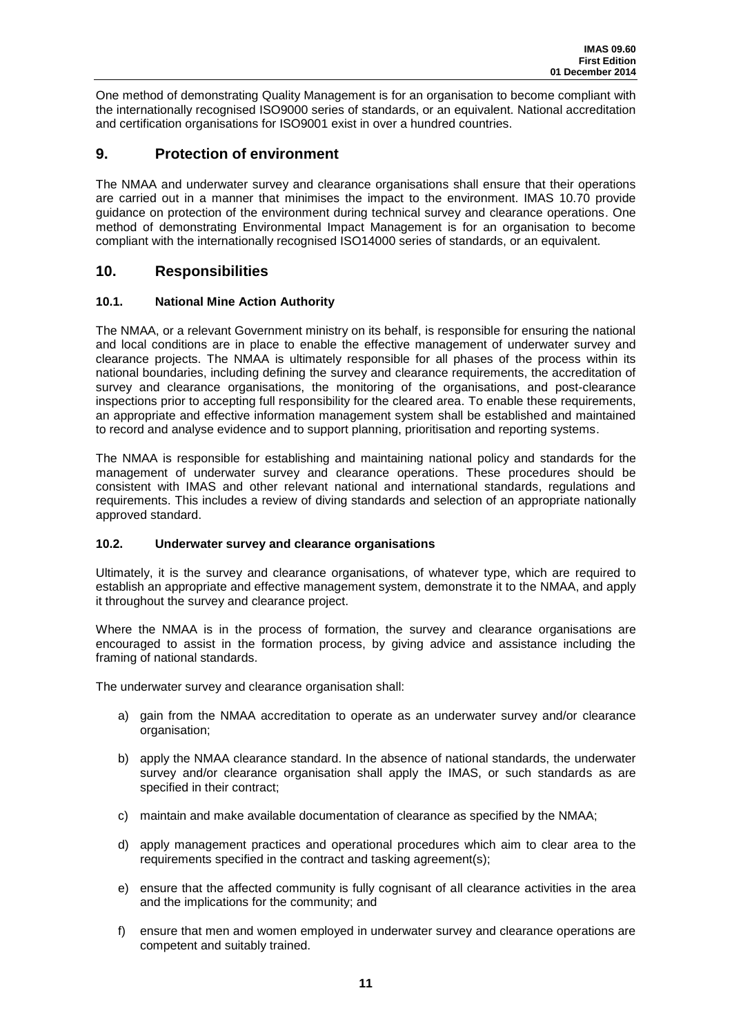One method of demonstrating Quality Management is for an organisation to become compliant with the internationally recognised ISO9000 series of standards, or an equivalent. National accreditation and certification organisations for ISO9001 exist in over a hundred countries.

## <span id="page-15-0"></span>**9. Protection of environment**

The NMAA and underwater survey and clearance organisations shall ensure that their operations are carried out in a manner that minimises the impact to the environment. IMAS 10.70 provide guidance on protection of the environment during technical survey and clearance operations. One method of demonstrating Environmental Impact Management is for an organisation to become compliant with the internationally recognised ISO14000 series of standards, or an equivalent.

## <span id="page-15-1"></span>**10. Responsibilities**

## **10.1. National Mine Action Authority**

The NMAA, or a relevant Government ministry on its behalf, is responsible for ensuring the national and local conditions are in place to enable the effective management of underwater survey and clearance projects. The NMAA is ultimately responsible for all phases of the process within its national boundaries, including defining the survey and clearance requirements, the accreditation of survey and clearance organisations, the monitoring of the organisations, and post-clearance inspections prior to accepting full responsibility for the cleared area. To enable these requirements, an appropriate and effective information management system shall be established and maintained to record and analyse evidence and to support planning, prioritisation and reporting systems.

The NMAA is responsible for establishing and maintaining national policy and standards for the management of underwater survey and clearance operations. These procedures should be consistent with IMAS and other relevant national and international standards, regulations and requirements. This includes a review of diving standards and selection of an appropriate nationally approved standard.

## **10.2. Underwater survey and clearance organisations**

Ultimately, it is the survey and clearance organisations, of whatever type, which are required to establish an appropriate and effective management system, demonstrate it to the NMAA, and apply it throughout the survey and clearance project.

Where the NMAA is in the process of formation, the survey and clearance organisations are encouraged to assist in the formation process, by giving advice and assistance including the framing of national standards.

The underwater survey and clearance organisation shall:

- a) gain from the NMAA accreditation to operate as an underwater survey and/or clearance organisation;
- b) apply the NMAA clearance standard. In the absence of national standards, the underwater survey and/or clearance organisation shall apply the IMAS, or such standards as are specified in their contract;
- c) maintain and make available documentation of clearance as specified by the NMAA;
- d) apply management practices and operational procedures which aim to clear area to the requirements specified in the contract and tasking agreement(s);
- e) ensure that the affected community is fully cognisant of all clearance activities in the area and the implications for the community; and
- f) ensure that men and women employed in underwater survey and clearance operations are competent and suitably trained.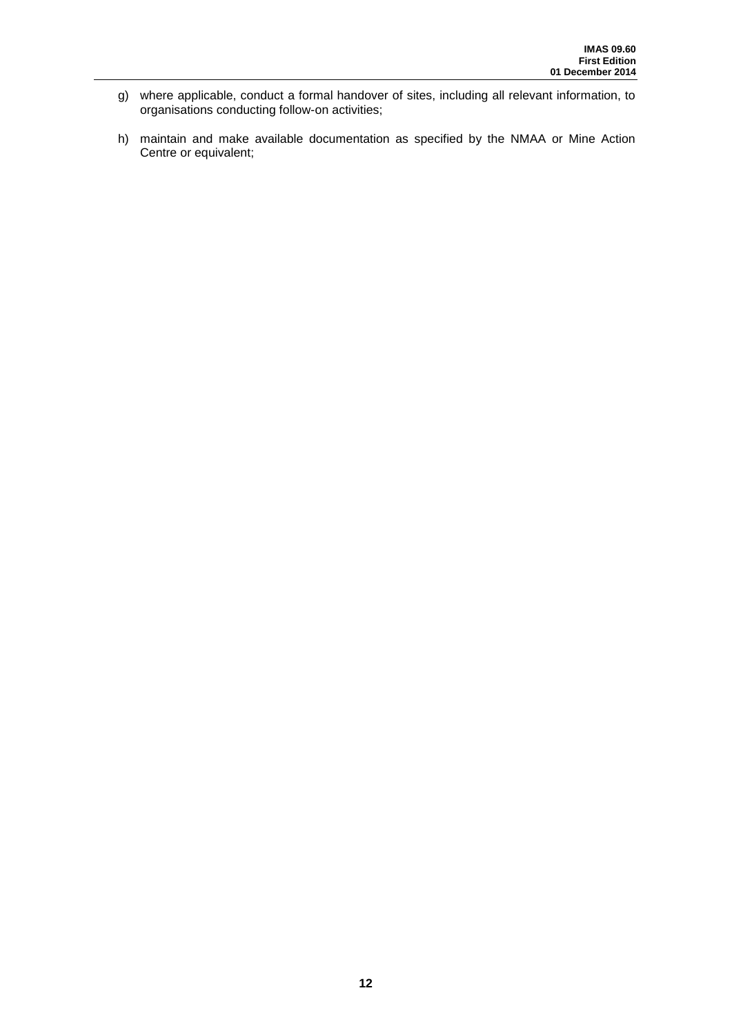- g) where applicable, conduct a formal handover of sites, including all relevant information, to organisations conducting follow-on activities;
- h) maintain and make available documentation as specified by the NMAA or Mine Action Centre or equivalent;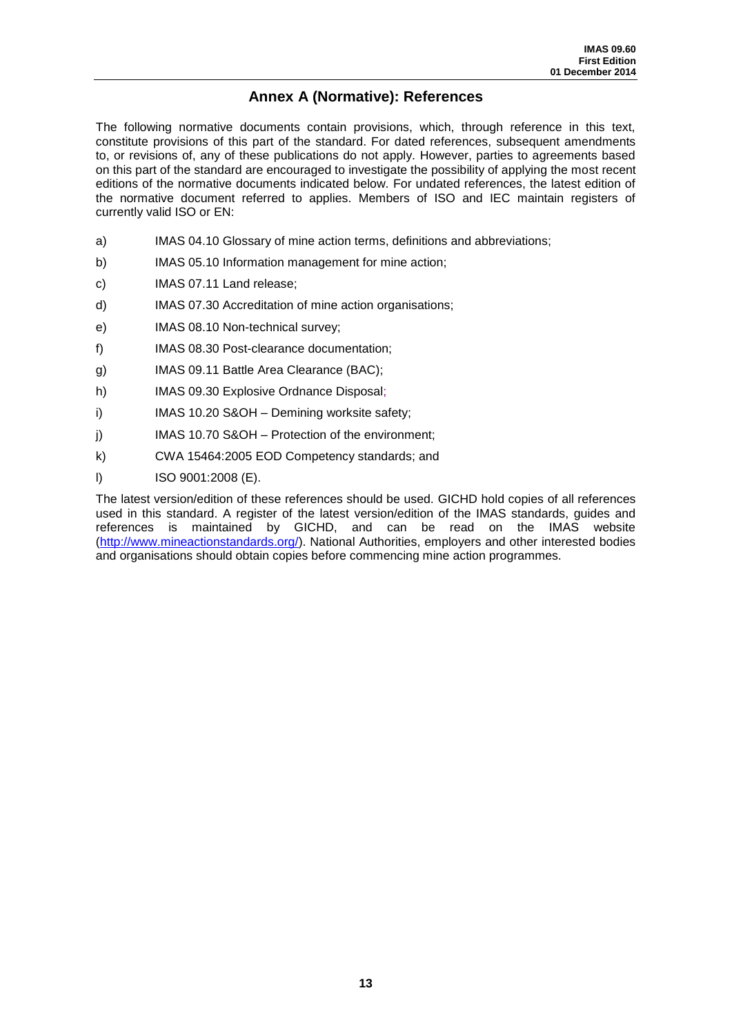# **Annex A (Normative): References**

<span id="page-17-0"></span>The following normative documents contain provisions, which, through reference in this text, constitute provisions of this part of the standard. For dated references, subsequent amendments to, or revisions of, any of these publications do not apply. However, parties to agreements based on this part of the standard are encouraged to investigate the possibility of applying the most recent editions of the normative documents indicated below. For undated references, the latest edition of the normative document referred to applies. Members of ISO and IEC maintain registers of currently valid ISO or EN:

- a) IMAS 04.10 Glossary of mine action terms, definitions and abbreviations;
- b) IMAS 05.10 Information management for mine action;
- c) IMAS 07.11 Land release;
- d) IMAS 07.30 Accreditation of mine action organisations;
- e) IMAS 08.10 Non-technical survey;
- f) IMAS 08.30 Post-clearance documentation;
- g) IMAS 09.11 Battle Area Clearance (BAC);
- h) IMAS 09.30 Explosive Ordnance Disposal;
- i) IMAS 10.20 S&OH Demining worksite safety;
- j) IMAS 10.70 S&OH Protection of the environment;
- k) CWA 15464:2005 EOD Competency standards; and
- l) ISO 9001:2008 (E).

The latest version/edition of these references should be used. GICHD hold copies of all references used in this standard. A register of the latest version/edition of the IMAS standards, guides and references is maintained by GICHD, and can be read on the IMAS website [\(http://www.mineactionstandards.org/\)](http://www.mineactionstandards.org/). National Authorities, employers and other interested bodies and organisations should obtain copies before commencing mine action programmes.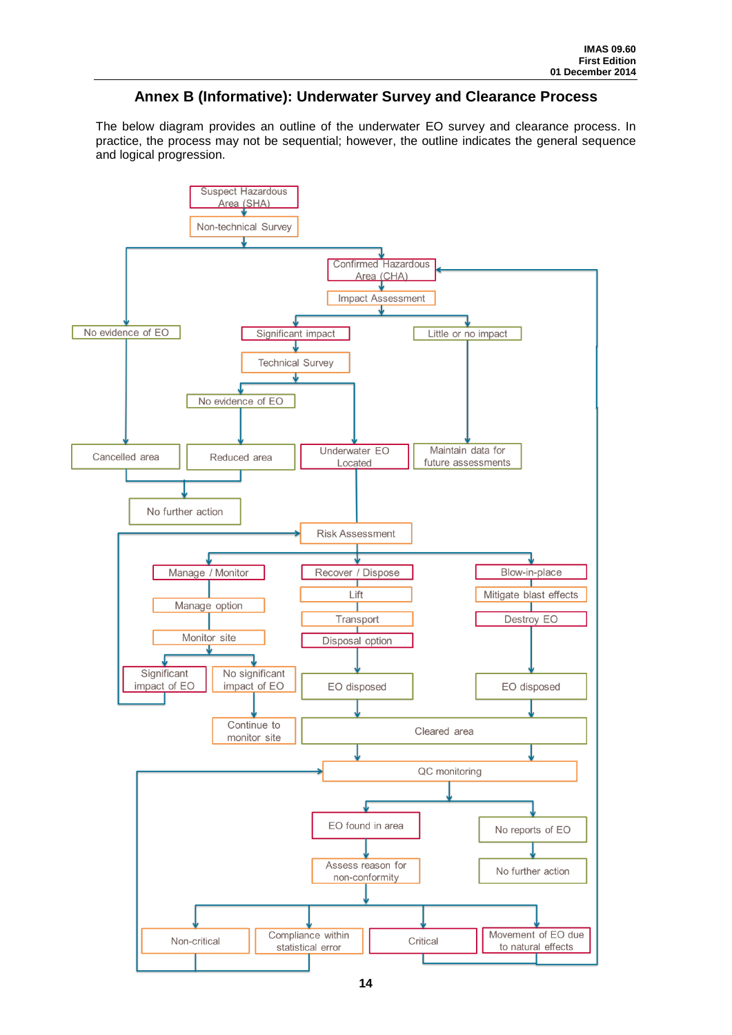## **Annex B (Informative): Underwater Survey and Clearance Process**

<span id="page-18-0"></span>The below diagram provides an outline of the underwater EO survey and clearance process. In practice, the process may not be sequential; however, the outline indicates the general sequence and logical progression.

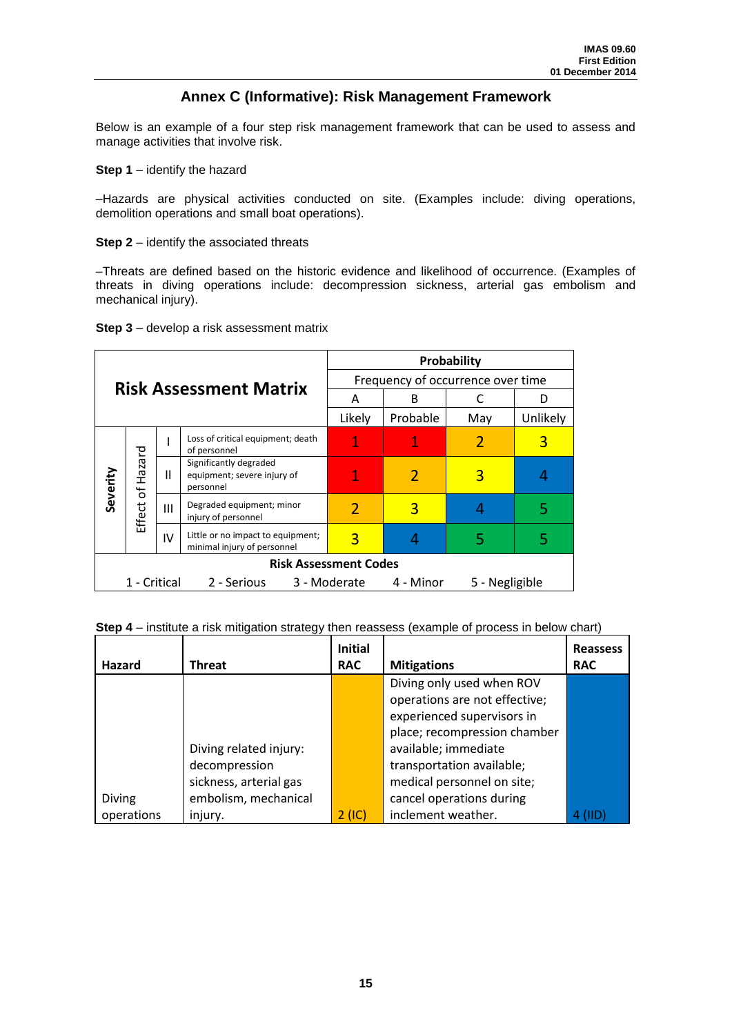## **Annex C (Informative): Risk Management Framework**

<span id="page-19-0"></span>Below is an example of a four step risk management framework that can be used to assess and manage activities that involve risk.

**Step 1** – identify the hazard

–Hazards are physical activities conducted on site. (Examples include: diving operations, demolition operations and small boat operations).

**Step 2** – identify the associated threats

–Threats are defined based on the historic evidence and likelihood of occurrence. (Examples of threats in diving operations include: decompression sickness, arterial gas embolism and mechanical injury).

|  | Step 3 - develop a risk assessment matrix |
|--|-------------------------------------------|
|--|-------------------------------------------|

| <b>Risk Assessment Matrix</b>                                              |                                    |                | Probability                                                        |          |     |          |   |
|----------------------------------------------------------------------------|------------------------------------|----------------|--------------------------------------------------------------------|----------|-----|----------|---|
|                                                                            |                                    |                | Frequency of occurrence over time                                  |          |     |          |   |
|                                                                            |                                    |                |                                                                    | А        | B   |          |   |
|                                                                            |                                    |                | Likely                                                             | Probable | May | Unlikely |   |
| Severity                                                                   | Hazard<br>$\mathfrak{b}$<br>Effect |                | Loss of critical equipment; death<br>of personnel                  | 1        |     |          | 3 |
|                                                                            |                                    | Ш              | Significantly degraded<br>equipment; severe injury of<br>personnel |          |     | 3        |   |
|                                                                            |                                    | $\mathbf{III}$ | Degraded equipment; minor<br>injury of personnel                   |          | 3   |          |   |
|                                                                            |                                    | IV             | Little or no impact to equipment;<br>minimal injury of personnel   | 3        |     | 5        | 5 |
| <b>Risk Assessment Codes</b>                                               |                                    |                |                                                                    |          |     |          |   |
| 1 - Critical<br>2 - Serious<br>3 - Moderate<br>4 - Minor<br>5 - Negligible |                                    |                |                                                                    |          |     |          |   |

**Step 4** – institute a risk mitigation strategy then reassess (example of process in below chart)

|               |                        | <b>Initial</b> |                               | <b>Reassess</b> |
|---------------|------------------------|----------------|-------------------------------|-----------------|
| Hazard        | <b>Threat</b>          | <b>RAC</b>     | <b>Mitigations</b>            | <b>RAC</b>      |
|               |                        |                | Diving only used when ROV     |                 |
|               |                        |                | operations are not effective; |                 |
|               |                        |                | experienced supervisors in    |                 |
|               |                        |                | place; recompression chamber  |                 |
|               | Diving related injury: |                | available; immediate          |                 |
|               | decompression          |                | transportation available;     |                 |
|               | sickness, arterial gas |                | medical personnel on site;    |                 |
| <b>Diving</b> | embolism, mechanical   |                | cancel operations during      |                 |
| operations    | injury.                | 2 (IC)         | inclement weather.            |                 |